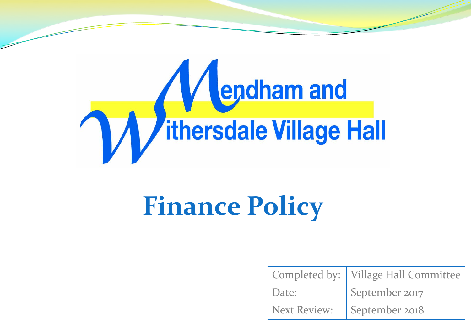

# **Finance Policy**

|                     | Completed by:   Village Hall Committee |
|---------------------|----------------------------------------|
| Date:               | September 2017                         |
| <b>Next Review:</b> | September 2018                         |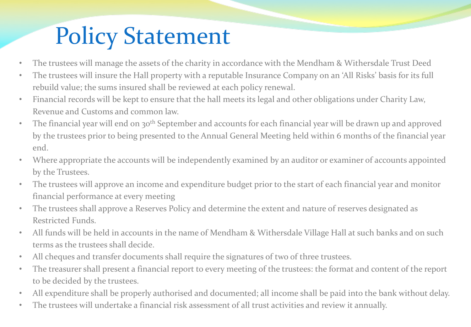## Policy Statement

- The trustees will manage the assets of the charity in accordance with the Mendham & Withersdale Trust Deed
- The trustees will insure the Hall property with a reputable Insurance Company on an 'All Risks' basis for its full rebuild value; the sums insured shall be reviewed at each policy renewal.
- Financial records will be kept to ensure that the hall meets its legal and other obligations under Charity Law, Revenue and Customs and common law.
- The financial year will end on 30<sup>th</sup> September and accounts for each financial year will be drawn up and approved by the trustees prior to being presented to the Annual General Meeting held within 6 months of the financial year end.
- Where appropriate the accounts will be independently examined by an auditor or examiner of accounts appointed by the Trustees.
- The trustees will approve an income and expenditure budget prior to the start of each financial year and monitor financial performance at every meeting
- The trustees shall approve a Reserves Policy and determine the extent and nature of reserves designated as Restricted Funds.
- All funds will be held in accounts in the name of Mendham & Withersdale Village Hall at such banks and on such terms as the trustees shall decide.
- All cheques and transfer documents shall require the signatures of two of three trustees.
- The treasurer shall present a financial report to every meeting of the trustees: the format and content of the report to be decided by the trustees.
- All expenditure shall be properly authorised and documented; all income shall be paid into the bank without delay.
- The trustees will undertake a financial risk assessment of all trust activities and review it annually.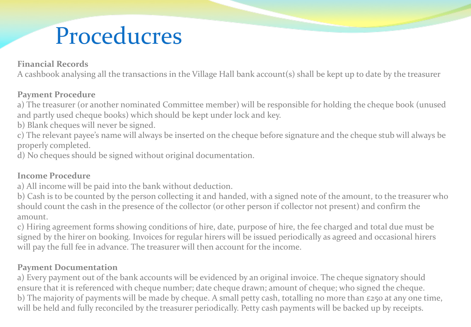## Proceducres

#### **Financial Records**

A cashbook analysing all the transactions in the Village Hall bank account(s) shall be kept up to date by the treasurer

#### **Payment Procedure**

a) The treasurer (or another nominated Committee member) will be responsible for holding the cheque book (unused and partly used cheque books) which should be kept under lock and key.

b) Blank cheques will never be signed.

c) The relevant payee's name will always be inserted on the cheque before signature and the cheque stub will always be properly completed.

d) No cheques should be signed without original documentation.

#### **Income Procedure**

a) All income will be paid into the bank without deduction.

b) Cash is to be counted by the person collecting it and handed, with a signed note of the amount, to the treasurer who should count the cash in the presence of the collector (or other person if collector not present) and confirm the amount.

c) Hiring agreement forms showing conditions of hire, date, purpose of hire, the fee charged and total due must be signed by the hirer on booking. Invoices for regular hirers will be issued periodically as agreed and occasional hirers will pay the full fee in advance. The treasurer will then account for the income.

#### **Payment Documentation**

a) Every payment out of the bank accounts will be evidenced by an original invoice. The cheque signatory should ensure that it is referenced with cheque number; date cheque drawn; amount of cheque; who signed the cheque. b) The majority of payments will be made by cheque. A small petty cash, totalling no more than £250 at any one time, will be held and fully reconciled by the treasurer periodically. Petty cash payments will be backed up by receipts.